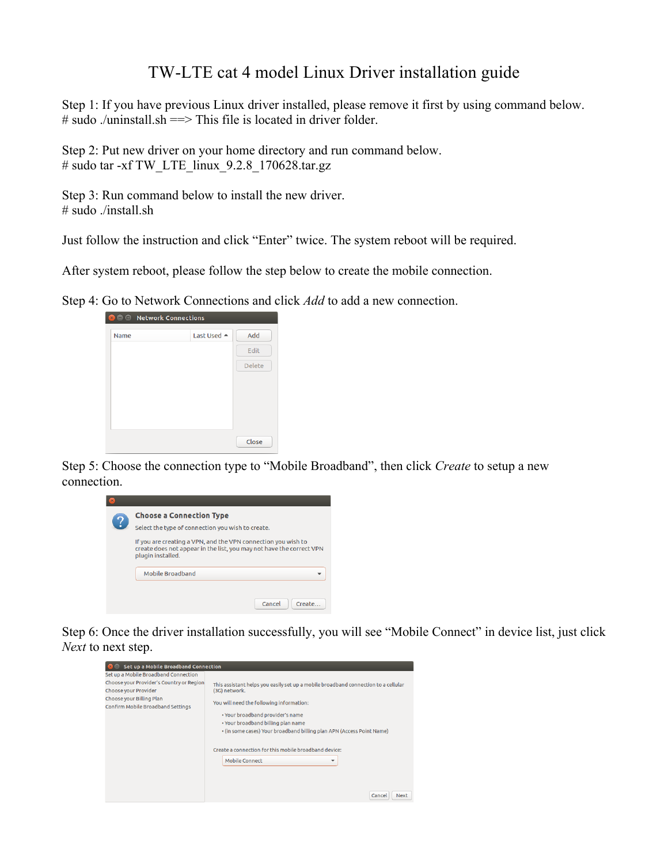## TW-LTE cat 4 model Linux Driver installation guide

Step 1: If you have previous Linux driver installed, please remove it first by using command below.  $\#$  sudo ./uninstall.sh =  $\Rightarrow$  This file is located in driver folder.

Step 2: Put new driver on your home directory and run command below. # sudo tar -xf TW\_LTE\_linux\_9.2.8\_170628.tar.gz

Step 3: Run command below to install the new driver. # sudo ./install.sh

Just follow the instruction and click "Enter" twice. The system reboot will be required.

After system reboot, please follow the step below to create the mobile connection.

Step 4: Go to Network Connections and click *Add* to add a new connection.



Step 5: Choose the connection type to "Mobile Broadband", then click *Create* to setup a new connection.



Step 6: Once the driver installation successfully, you will see "Mobile Connect" in device list, just click *Next* to next step.

| Set up a Mobile Broadband Connection     |                                                                                    |  |
|------------------------------------------|------------------------------------------------------------------------------------|--|
| Set up a Mobile Broadband Connection     |                                                                                    |  |
| Choose your Provider's Country or Region | This assistant helps you easily set up a mobile broadband connection to a cellular |  |
| <b>Choose your Provider</b>              | (3G) network.                                                                      |  |
| Choose your Billing Plan                 | You will need the following information:                                           |  |
| Confirm Mobile Broadband Settings        |                                                                                    |  |
|                                          | . Your broadband provider's name                                                   |  |
|                                          | . Your broadband billing plan name                                                 |  |
|                                          | . (in some cases) Your broadband billing plan APN (Access Point Name)              |  |
|                                          |                                                                                    |  |
|                                          | Create a connection for this mobile broadband device:                              |  |
|                                          | Mobile Connect<br>÷                                                                |  |
|                                          |                                                                                    |  |
|                                          |                                                                                    |  |
|                                          |                                                                                    |  |
|                                          | Cancel<br><b>Next</b>                                                              |  |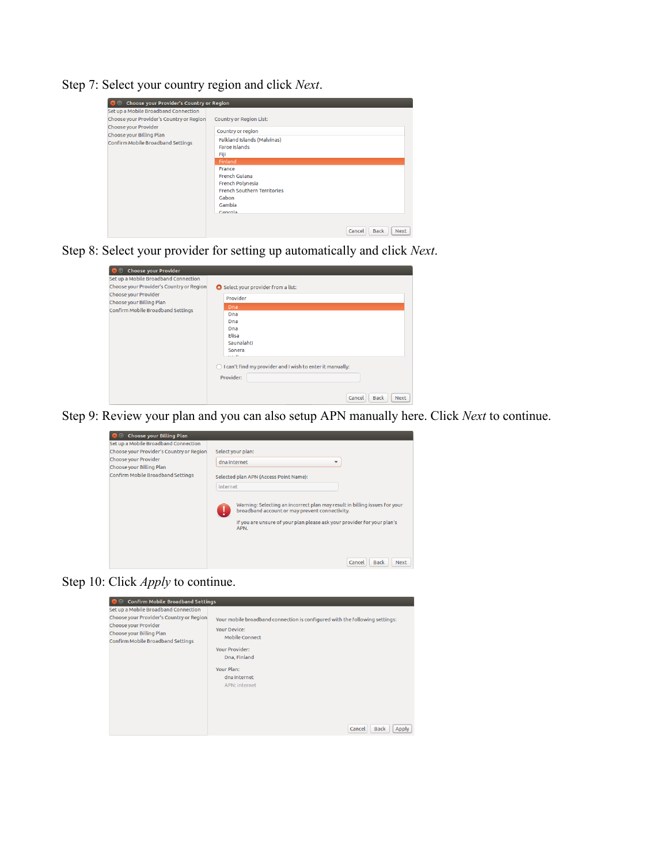Step 7: Select your country region and click *Next*.

| Choose your Provider's Country or Region<br>Æ                                                                                     |                                                                                                             |  |
|-----------------------------------------------------------------------------------------------------------------------------------|-------------------------------------------------------------------------------------------------------------|--|
| Set up a Mobile Broadband Connection                                                                                              |                                                                                                             |  |
| Choose your Provider's Country or Region<br>Choose your Provider<br>Choose your Billing Plan<br>Confirm Mobile Broadband Settings | <b>Country or Region List:</b>                                                                              |  |
|                                                                                                                                   | Country or region                                                                                           |  |
|                                                                                                                                   | Falkland Islands (Malvinas)<br><b>Faroe Islands</b><br>Fiji                                                 |  |
|                                                                                                                                   | <b>Finland</b>                                                                                              |  |
|                                                                                                                                   | France<br><b>French Guiana</b><br>French Polynesia<br><b>French Southern Territories</b><br>Gabon<br>Gambia |  |
|                                                                                                                                   | Georgia                                                                                                     |  |
|                                                                                                                                   | <b>Back</b><br><b>Next</b><br>Cancel                                                                        |  |

Step 8: Select your provider for setting up automatically and click *Next*.

| 图画<br><b>Choose your Provider</b>                                                            |                                                                                                                                                                                                          |
|----------------------------------------------------------------------------------------------|----------------------------------------------------------------------------------------------------------------------------------------------------------------------------------------------------------|
| Set up a Mobile Broadband Connection<br>Choose your Provider's Country or Region             | Select your provider from a list:<br>$\bullet$                                                                                                                                                           |
| <b>Choose your Provider</b><br>Choose your Billing Plan<br>Confirm Mobile Broadband Settings | Provider<br>Dna<br>Dna<br>Dna<br>Dna<br>Elisa<br>Saunalahti<br>Sonera<br>$2.14 - 11$<br>◯ I can't find my provider and I wish to enter it manually:<br>Provider:<br><b>Back</b><br><b>Next</b><br>Cancel |

Step 9: Review your plan and you can also setup APN manually here. Click *Next* to continue.



Step 10: Click *Apply* to continue.

| <b>Confirm Mobile Broadband Settings</b>                                                                                                                                  |                                                                                                                                                                                                                                                       |
|---------------------------------------------------------------------------------------------------------------------------------------------------------------------------|-------------------------------------------------------------------------------------------------------------------------------------------------------------------------------------------------------------------------------------------------------|
| Set up a Mobile Broadband Connection<br>Choose your Provider's Country or Region<br>Choose your Provider<br>Choose your Billing Plan<br>Confirm Mobile Broadband Settings | Your mobile broadband connection is configured with the following settings:<br>Your Device:<br><b>Mobile Connect</b><br>Your Provider:<br>Dna, Finland<br>Your Plan:<br>dna internet<br><b>APN: internet</b><br>Cancel<br><b>Back</b><br><b>Apply</b> |
|                                                                                                                                                                           |                                                                                                                                                                                                                                                       |